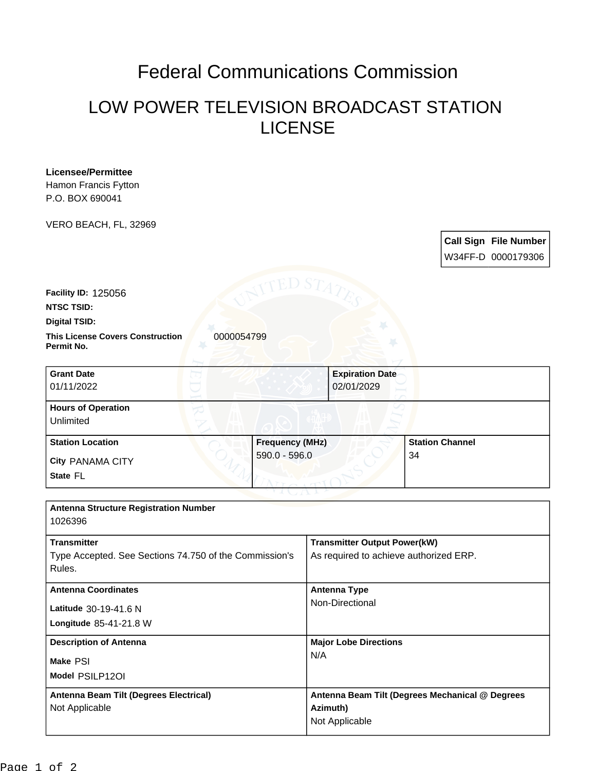## Federal Communications Commission

## LOW POWER TELEVISION BROADCAST STATION LICENSE

| Hamon Francis Fytton<br>P.O. BOX 690041                                                                            |                                         |                                                                               |                                                    |
|--------------------------------------------------------------------------------------------------------------------|-----------------------------------------|-------------------------------------------------------------------------------|----------------------------------------------------|
| VERO BEACH, FL, 32969                                                                                              |                                         |                                                                               | <b>Call Sign File Number</b><br>W34FF-D 0000179306 |
| Facility ID: 125056<br><b>NTSC TSID:</b><br>Digital TSID:<br><b>This License Covers Construction</b><br>Permit No. | 0000054799                              |                                                                               |                                                    |
| <b>Grant Date</b><br>01/11/2022                                                                                    |                                         | <b>Expiration Date</b><br>02/01/2029                                          |                                                    |
| <b>Hours of Operation</b><br>Unlimited                                                                             |                                         |                                                                               |                                                    |
| <b>Station Location</b><br>City PANAMA CITY<br>State FL                                                            | <b>Frequency (MHz)</b><br>590.0 - 596.0 |                                                                               | <b>Station Channel</b><br>34                       |
| <b>Antenna Structure Registration Number</b><br>1026396                                                            |                                         |                                                                               |                                                    |
| <b>Transmitter</b><br>Type Accepted. See Sections 74.750 of the Commission's<br>Rules.                             |                                         | <b>Transmitter Output Power(kW)</b><br>As required to achieve authorized ERP. |                                                    |
| <b>Antenna Coordinates</b><br>Latitude 30-19-41.6 N<br>Longitude 85-41-21.8 W                                      |                                         | <b>Antenna Type</b><br>Non-Directional                                        |                                                    |
| <b>Description of Antenna</b><br>Make PSI<br>Model PSILP12OI                                                       |                                         | <b>Major Lobe Directions</b><br>N/A                                           |                                                    |
| Antenna Beam Tilt (Degrees Electrical)                                                                             |                                         |                                                                               | Antenna Beam Tilt (Degrees Mechanical @ Degrees    |

**Azimuth)** Not Applicable

**Licensee/Permittee**

Page 1 of 2

Not Applicable